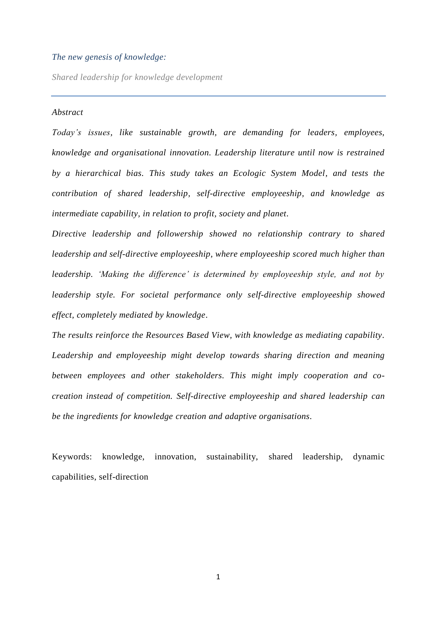## *The new genesis of knowledge:*

*Shared leadership for knowledge development*

### *Abstract*

*Today's issues, like sustainable growth, are demanding for leaders, employees, knowledge and organisational innovation. Leadership literature until now is restrained by a hierarchical bias. This study takes an Ecologic System Model, and tests the contribution of shared leadership, self-directive employeeship, and knowledge as intermediate capability, in relation to profit, society and planet.*

*Directive leadership and followership showed no relationship contrary to shared leadership and self-directive employeeship, where employeeship scored much higher than leadership. 'Making the difference' is determined by employeeship style, and not by leadership style. For societal performance only self-directive employeeship showed effect, completely mediated by knowledge.*

*The results reinforce the Resources Based View, with knowledge as mediating capability. Leadership and employeeship might develop towards sharing direction and meaning between employees and other stakeholders. This might imply cooperation and cocreation instead of competition. Self-directive employeeship and shared leadership can be the ingredients for knowledge creation and adaptive organisations.*

Keywords: knowledge, innovation, sustainability, shared leadership, dynamic capabilities, self-direction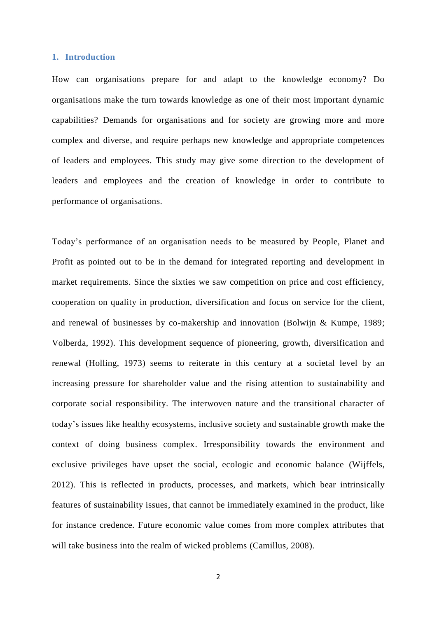### **1. Introduction**

How can organisations prepare for and adapt to the knowledge economy? Do organisations make the turn towards knowledge as one of their most important dynamic capabilities? Demands for organisations and for society are growing more and more complex and diverse, and require perhaps new knowledge and appropriate competences of leaders and employees. This study may give some direction to the development of leaders and employees and the creation of knowledge in order to contribute to performance of organisations.

Today's performance of an organisation needs to be measured by People, Planet and Profit as pointed out to be in the demand for integrated reporting and development in market requirements. Since the sixties we saw competition on price and cost efficiency, cooperation on quality in production, diversification and focus on service for the client, and renewal of businesses by co-makership and innovation [\(Bolwijn & Kumpe, 1989;](#page-28-0) [Volberda, 1992\)](#page-34-0). This development sequence of pioneering, growth, diversification and renewal [\(Holling, 1973\)](#page-31-0) seems to reiterate in this century at a societal level by an increasing pressure for shareholder value and the rising attention to sustainability and corporate social responsibility. The interwoven nature and the transitional character of today's issues like healthy ecosystems, inclusive society and sustainable growth make the context of doing business complex. Irresponsibility towards the environment and exclusive privileges have upset the social, ecologic and economic balance [\(Wijffels,](#page-34-1)  [2012\)](#page-34-1). This is reflected in products, processes, and markets, which bear intrinsically features of sustainability issues, that cannot be immediately examined in the product, like for instance credence. Future economic value comes from more complex attributes that will take business into the realm of wicked problems [\(Camillus, 2008\)](#page-28-1).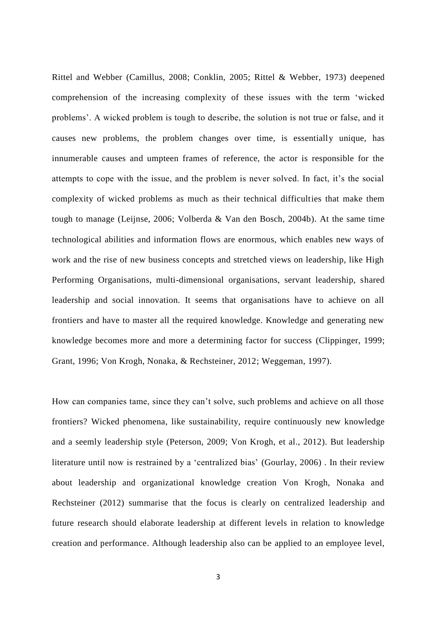Rittel and Webber [\(Camillus, 2008;](#page-28-1) [Conklin, 2005;](#page-28-2) [Rittel & Webber,](#page-33-0) 1973) deepened comprehension of the increasing complexity of these issues with the term 'wicked problems'. A wicked problem is tough to describe, the solution is not true or false, and it causes new problems, the problem changes over time, is essentially unique, has innumerable causes and umpteen frames of reference, the actor is responsible for the attempts to cope with the issue, and the problem is never solved. In fact, it's the social complexity of wicked problems as much as their technical difficulties that make them tough to manage [\(Leijnse, 2006;](#page-32-0) [Volberda & Van den Bosch, 2004b\)](#page-34-2). At the same time technological abilities and information flows are enormous, which enables new ways of work and the rise of new business concepts and stretched views on leadership, like High Performing Organisations, multi-dimensional organisations, servant leadership, shared leadership and social innovation. It seems that organisations have to achieve on all frontiers and have to master all the required knowledge. Knowledge and generating new knowledge becomes more and more a determining factor for success [\(Clippinger, 1999;](#page-28-3) [Grant, 1996;](#page-30-0) [Von Krogh, Nonaka, & Rechsteiner, 2012;](#page-34-3) [Weggeman, 1997\)](#page-34-4).

How can companies tame, since they can't solve, such problems and achieve on all those frontiers? Wicked phenomena, like sustainability, require continuously new knowledge and a seemly leadership style [\(Peterson, 2009;](#page-33-1) [Von Krogh,](#page-34-3) et al., 2012). But leadership literature until now is restrained by a 'centralized bias' [\(Gourlay, 2006\)](#page-30-1) . In their review about leadership and organizational knowledge creation Von Krogh, Nonaka and Rechsteiner [\(2012\)](#page-34-3) summarise that the focus is clearly on centralized leadership and future research should elaborate leadership at different levels in relation to knowledge creation and performance. Although leadership also can be applied to an employee level,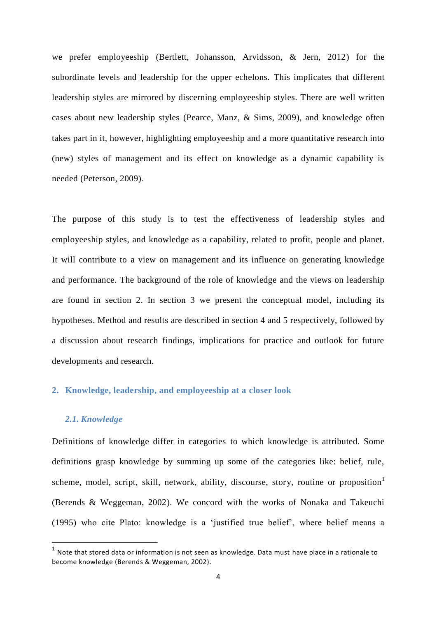we prefer employeeship [\(Bertlett, Johansson, Arvidsson, & Jern, 2012\)](#page-28-4) for the subordinate levels and leadership for the upper echelons. This implicates that different leadership styles are mirrored by discerning employeeship styles. There are well written cases about new leadership styles [\(Pearce, Manz, & Sims, 2009\)](#page-33-2), and knowledge often takes part in it, however, highlighting employeeship and a more quantitative research into (new) styles of management and its effect on knowledge as a dynamic capability is needed [\(Peterson, 2009\)](#page-33-1).

The purpose of this study is to test the effectiveness of leadership styles and employeeship styles, and knowledge as a capability, related to profit, people and planet. It will contribute to a view on management and its influence on generating knowledge and performance. The background of the role of knowledge and the views on leadership are found in section 2. In section 3 we present the conceptual model, including its hypotheses. Method and results are described in section 4 and 5 respectively, followed by a discussion about research findings, implications for practice and outlook for future developments and research.

# **2. Knowledge, leadership, and employeeship at a closer look**

#### *2.1. Knowledge*

**.** 

Definitions of knowledge differ in categories to which knowledge is attributed. Some definitions grasp knowledge by summing up some of the categories like: belief, rule, scheme, model, script, skill, network, ability, discourse, story, routine or proposition<sup>1</sup> [\(Berends & Weggeman, 2002\)](#page-27-0). We concord with the works of Nonaka and Takeuchi [\(1995\)](#page-32-1) who cite Plato: knowledge is a 'justified true belief', where belief means a

 $<sup>1</sup>$  Note that stored data or information is not seen as knowledge. Data must have place in a rationale to</sup> become knowledge [\(Berends & Weggeman, 2002\)](#page-27-0).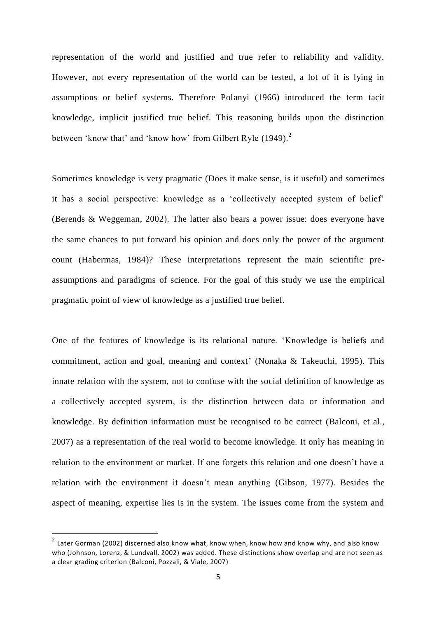representation of the world and justified and true refer to reliability and validity. However, not every representation of the world can be tested, a lot of it is lying in assumptions or belief systems. Therefore Polanyi [\(1966\)](#page-33-3) introduced the term tacit knowledge, implicit justified true belief. This reasoning builds upon the distinction between 'know that' and 'know how' from Gilbert Ryle [\(1949\)](#page-33-4).<sup>2</sup>

Sometimes knowledge is very pragmatic (Does it make sense, is it useful) and sometimes it has a social perspective: knowledge as a 'collectively accepted system of belief' [\(Berends & Weggeman, 2002\)](#page-27-0). The latter also bears a power issue: does everyone have the same chances to put forward his opinion and does only the power of the argument count [\(Habermas, 1984\)](#page-30-2)? These interpretations represent the main scientific preassumptions and paradigms of science. For the goal of this study we use the empirical pragmatic point of view of knowledge as a justified true belief.

One of the features of knowledge is its relational nature. 'Knowledge is beliefs and commitment, action and goal, meaning and context' [\(Nonaka & Takeuchi, 1995\)](#page-32-1). This innate relation with the system, not to confuse with the social definition of knowledge as a collectively accepted system, is the distinction between data or information and knowledge. By definition information must be recognised to be correct [\(Balconi, et al.,](#page-27-1)  [2007\)](#page-27-1) as a representation of the real world to become knowledge. It only has meaning in relation to the environment or market. If one forgets this relation and one doesn't have a relation with the environment it doesn't mean anything [\(Gibson, 1977\)](#page-30-3). Besides the aspect of meaning, expertise lies is in the system. The issues come from the system and

1

<sup>&</sup>lt;sup>2</sup> Later Gorman [\(2002\)](#page-30-4) discerned also know what, know when, know how and know why, and also know who [\(Johnson, Lorenz, & Lundvall, 2002\)](#page-31-1) was added. These distinctions show overlap and are not seen as a clear grading criterion [\(Balconi, Pozzali, & Viale, 2007\)](#page-27-1)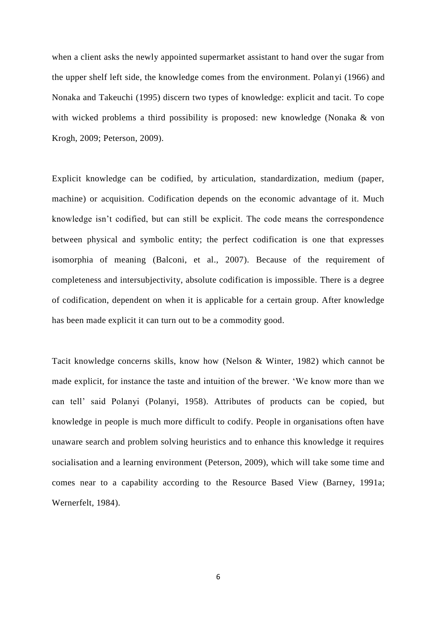when a client asks the newly appointed supermarket assistant to hand over the sugar from the upper shelf left side, the knowledge comes from the environment. Polanyi [\(1966\)](#page-33-3) and Nonaka and Takeuchi [\(1995\)](#page-32-1) discern two types of knowledge: explicit and tacit. To cope with wicked problems a third possibility is proposed: new knowledge (Nonaka & von [Krogh, 2009;](#page-33-5) [Peterson, 2009\)](#page-33-1).

Explicit knowledge can be codified, by articulation, standardization, medium (paper, machine) or acquisition. Codification depends on the economic advantage of it. Much knowledge isn't codified, but can still be explicit. The code means the correspondence between physical and symbolic entity; the perfect codification is one that expresses isomorphia of meaning [\(Balconi, et al., 2007\)](#page-27-1). Because of the requirement of completeness and intersubjectivity, absolute codification is impossible. There is a degree of codification, dependent on when it is applicable for a certain group. After knowledge has been made explicit it can turn out to be a commodity good.

Tacit knowledge concerns skills, know how [\(Nelson & Winter, 1982\)](#page-32-2) which cannot be made explicit, for instance the taste and intuition of the brewer. 'We know more than we can tell' said Polanyi [\(Polanyi, 1958\)](#page-33-6). Attributes of products can be copied, but knowledge in people is much more difficult to codify. People in organisations often have unaware search and problem solving heuristics and to enhance this knowledge it requires socialisation and a learning environment [\(Peterson, 2009\)](#page-33-1), which will take some time and comes near to a capability according to the Resource Based View [\(Barney, 1991a;](#page-27-2) [Wernerfelt, 1984\)](#page-34-5).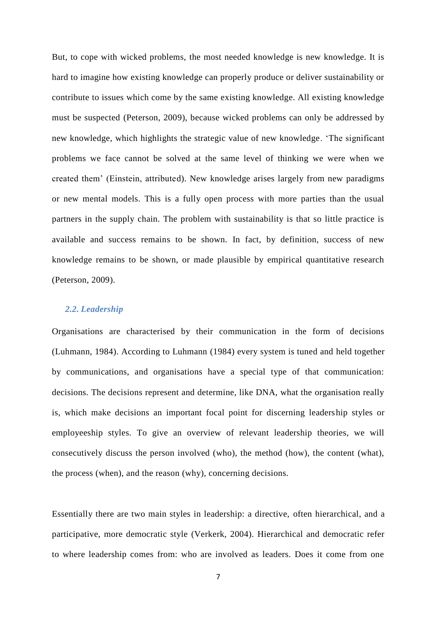But, to cope with wicked problems, the most needed knowledge is new knowledge. It is hard to imagine how existing knowledge can properly produce or deliver sustainability or contribute to issues which come by the same existing knowledge. All existing knowledge must be suspected [\(Peterson, 2009\)](#page-33-1), because wicked problems can only be addressed by new knowledge, which highlights the strategic value of new knowledge. 'The significant problems we face cannot be solved at the same level of thinking we were when we created them' (Einstein, attributed). New knowledge arises largely from new paradigms or new mental models. This is a fully open process with more parties than the usual partners in the supply chain. The problem with sustainability is that so little practice is available and success remains to be shown. In fact, by definition, success of new knowledge remains to be shown, or made plausible by empirical quantitative research [\(Peterson, 2009\)](#page-33-1).

# *2.2. Leadership*

Organisations are characterised by their communication in the form of decisions [\(Luhmann, 1984\)](#page-32-3). According to Luhmann [\(1984\)](#page-32-3) every system is tuned and held together by communications, and organisations have a special type of that communication: decisions. The decisions represent and determine, like DNA, what the organisation really is, which make decisions an important focal point for discerning leadership styles or employeeship styles. To give an overview of relevant leadership theories, we will consecutively discuss the person involved (who), the method (how), the content (what), the process (when), and the reason (why), concerning decisions.

Essentially there are two main styles in leadership: a directive, often hierarchical, and a participative, more democratic style [\(Verkerk, 2004\)](#page-34-6). Hierarchical and democratic refer to where leadership comes from: who are involved as leaders. Does it come from one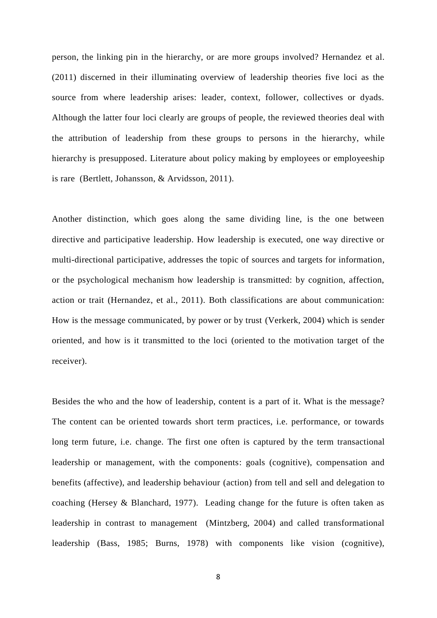person, the linking pin in the hierarchy, or are more groups involved? Hernandez et al. [\(2011\)](#page-31-2) discerned in their illuminating overview of leadership theories five loci as the source from where leadership arises: leader, context, follower, collectives or dyads. Although the latter four loci clearly are groups of people, the reviewed theories deal with the attribution of leadership from these groups to persons in the hierarchy, while hierarchy is presupposed. Literature about policy making by employees or employeeship is rare [\(Bertlett, Johansson, & Arvidsson, 2011\)](#page-27-3).

Another distinction, which goes along the same dividing line, is the one between directive and participative leadership. How leadership is executed, one way directive or multi-directional participative, addresses the topic of sources and targets for information, or the psychological mechanism how leadership is transmitted: by cognition, affection, action or trait [\(Hernandez, et al., 2011\)](#page-31-2). Both classifications are about communication: How is the message communicated, by power or by trust [\(Verkerk, 2004\)](#page-34-6) which is sender oriented, and how is it transmitted to the loci (oriented to the motivation target of the receiver).

Besides the who and the how of leadership, content is a part of it. What is the message? The content can be oriented towards short term practices, i.e. performance, or towards long term future, i.e. change. The first one often is captured by the term transactional leadership or management, with the components: goals (cognitive), compensation and benefits (affective), and leadership behaviour (action) from tell and sell and delegation to coaching [\(Hersey & Blanchard, 1977\)](#page-31-3). Leading change for the future is often taken as leadership in contrast to management [\(Mintzberg, 2004\)](#page-32-4) and called transformational leadership [\(Bass, 1985;](#page-27-4) [Burns, 1978\)](#page-28-5) with components like vision (cognitive),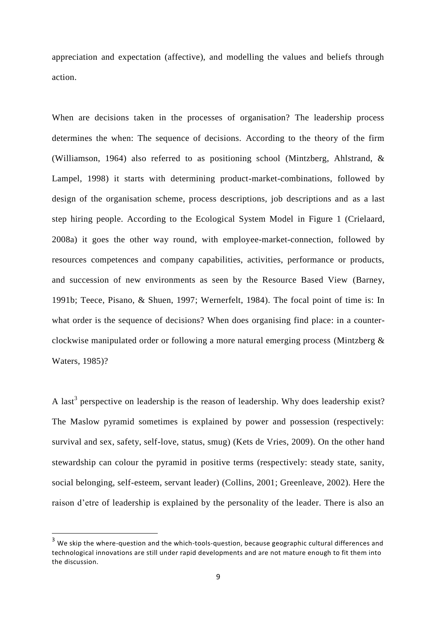appreciation and expectation (affective), and modelling the values and beliefs through action.

When are decisions taken in the processes of organisation? The leadership process determines the when: The sequence of decisions. According to the theory of the firm [\(Williamson, 1964\)](#page-34-7) also referred to as positioning school [\(Mintzberg, Ahlstrand, &](#page-32-5)  [Lampel, 1998\)](#page-32-5) it starts with determining product-market-combinations, followed by design of the organisation scheme, process descriptions, job descriptions and as a last step hiring people. According to the Ecological System Model in Figure 1 [\(Crielaard,](#page-29-0)  [2008a\)](#page-29-0) it goes the other way round, with employee-market-connection, followed by resources competences and company capabilities, activities, performance or products, and succession of new environments as seen by the Resource Based View [\(Barney,](#page-27-5)  [1991b;](#page-27-5) [Teece, Pisano, & Shuen, 1997;](#page-33-7) [Wernerfelt, 1984\)](#page-34-5). The focal point of time is: In what order is the sequence of decisions? When does organising find place: in a counterclockwise manipulated order or following a more natural emerging process [\(Mintzberg &](#page-32-6)  [Waters, 1985\)](#page-32-6)?

A last<sup>3</sup> perspective on leadership is the reason of leadership. Why does leadership exist? The Maslow pyramid sometimes is explained by power and possession (respectively: survival and sex, safety, self-love, status, smug) [\(Kets de Vries, 2009\)](#page-32-7). On the other hand stewardship can colour the pyramid in positive terms (respectively: steady state, sanity, social belonging, self-esteem, servant leader) [\(Collins, 2001;](#page-28-6) [Greenleave, 2002\)](#page-30-5). Here the raison d'etre of leadership is explained by the personality of the leader. There is also an

1

<sup>&</sup>lt;sup>3</sup> We skip the where-question and the which-tools-question, because geographic cultural differences and technological innovations are still under rapid developments and are not mature enough to fit them into the discussion.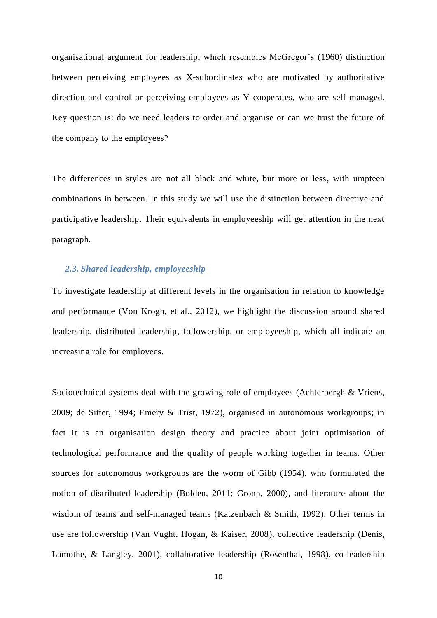organisational argument for leadership, which resembles McGregor's [\(1960\)](#page-32-8) distinction between perceiving employees as X-subordinates who are motivated by authoritative direction and control or perceiving employees as Y-cooperates, who are self-managed. Key question is: do we need leaders to order and organise or can we trust the future of the company to the employees?

The differences in styles are not all black and white, but more or less, with umpteen combinations in between. In this study we will use the distinction between directive and participative leadership. Their equivalents in employeeship will get attention in the next paragraph.

## *2.3. Shared leadership, employeeship*

To investigate leadership at different levels in the organisation in relation to knowledge and performance [\(Von Krogh, et al., 2012\)](#page-34-3), we highlight the discussion around shared leadership, distributed leadership, followership, or employeeship, which all indicate an increasing role for employees.

Sociotechnical systems deal with the growing role of employees [\(Achterbergh & Vriens,](#page-26-0)  [2009;](#page-26-0) [de Sitter, 1994;](#page-29-1) [Emery & Trist, 1972\)](#page-29-2), organised in autonomous workgroups; in fact it is an organisation design theory and practice about joint optimisation of technological performance and the quality of people working together in teams. Other sources for autonomous workgroups are the worm of Gibb [\(1954\)](#page-30-6), who formulated the notion of distributed leadership [\(Bolden, 2011;](#page-28-7) [Gronn,](#page-30-7) 2000), and literature about the wisdom of teams and self-managed teams [\(Katzenbach & Smith, 1992\)](#page-31-4). Other terms in use are followership [\(Van Vught, Hogan, & Kaiser, 2008\)](#page-34-8), collective leadership [\(Denis,](#page-29-3)  [Lamothe, & Langley, 2001\)](#page-29-3), collaborative leadership [\(Rosenthal, 1998\)](#page-33-8), co-leadership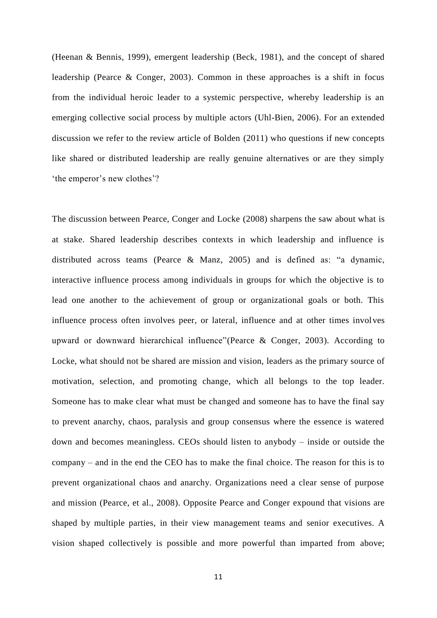[\(Heenan & Bennis, 1999\)](#page-31-5), emergent leadership [\(Beck, 1981\)](#page-27-6), and the concept of shared leadership [\(Pearce & Conger, 2003\)](#page-33-9). Common in these approaches is a shift in focus from the individual heroic leader to a systemic perspective, whereby leadership is an emerging collective social process by multiple actors [\(Uhl-Bien, 2006\)](#page-34-9). For an extended discussion we refer to the review article of Bolden [\(2011\)](#page-28-7) who questions if new concepts like shared or distributed leadership are really genuine alternatives or are they simply 'the emperor's new clothes'?

The discussion between Pearce, Conger and Locke [\(2008\)](#page-33-10) sharpens the saw about what is at stake. Shared leadership describes contexts in which leadership and influence is distributed across teams [\(Pearce & Manz, 2005\)](#page-33-11) and is defined as: "a dynamic, interactive influence process among individuals in groups for which the objective is to lead one another to the achievement of group or organizational goals or both. This influence process often involves peer, or lateral, influence and at other times involves upward or downward hierarchical influence"[\(Pearce & Conger, 2003\)](#page-33-9). According to Locke, what should not be shared are mission and vision, leaders as the primary source of motivation, selection, and promoting change, which all belongs to the top leader. Someone has to make clear what must be changed and someone has to have the final say to prevent anarchy, chaos, paralysis and group consensus where the essence is watered down and becomes meaningless. CEOs should listen to anybody – inside or outside the company – and in the end the CEO has to make the final choice. The reason for this is to prevent organizational chaos and anarchy. Organizations need a clear sense of purpose and mission [\(Pearce, et al., 2008\)](#page-33-10). Opposite Pearce and Conger expound that visions are shaped by multiple parties, in their view management teams and senior executives. A vision shaped collectively is possible and more powerful than imparted from above;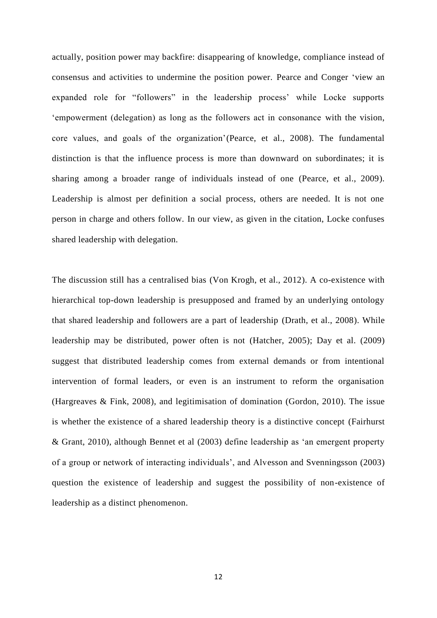actually, position power may backfire: disappearing of knowledge, compliance instead of consensus and activities to undermine the position power. Pearce and Conger 'view an expanded role for "followers" in the leadership process' while Locke supports 'empowerment (delegation) as long as the followers act in consonance with the vision, core values, and goals of the organization'[\(Pearce, et al., 2008\)](#page-33-10). The fundamental distinction is that the influence process is more than downward on subordinates; it is sharing among a broader range of individuals instead of one [\(Pearce, et al., 2009\)](#page-33-2). Leadership is almost per definition a social process, others are needed. It is not one person in charge and others follow. In our view, as given in the citation, Locke confuses shared leadership with delegation.

The discussion still has a centralised bias [\(Von Krogh, et al., 2012\)](#page-34-3). A co-existence with hierarchical top-down leadership is presupposed and framed by an underlying ontology that shared leadership and followers are a part of leadership [\(Drath, et al., 2008\)](#page-29-4). While leadership may be distributed, power often is not [\(Hatcher, 2005\)](#page-31-6); Day et al. [\(2009\)](#page-29-5) suggest that distributed leadership comes from external demands or from intentional intervention of formal leaders, or even is an instrument to reform the organisation [\(Hargreaves & Fink, 2008\)](#page-30-8), and legitimisation of domination [\(Gordon, 2010\)](#page-30-9). The issue is whether the existence of a shared leadership theory is a distinctive concept [\(Fairhurst](#page-29-6)  [& Grant, 2010\)](#page-29-6), although Bennet et al [\(2003\)](#page-27-7) define leadership as 'an emergent property of a group or network of interacting individuals', and Alvesson and Svenningsson [\(2003\)](#page-27-8) question the existence of leadership and suggest the possibility of non-existence of leadership as a distinct phenomenon.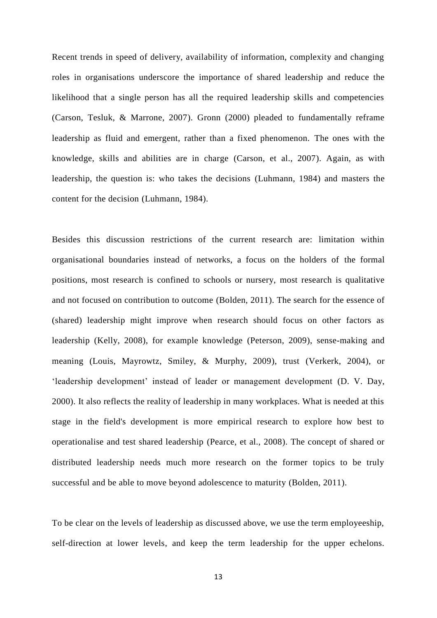Recent trends in speed of delivery, availability of information, complexity and changing roles in organisations underscore the importance of shared leadership and reduce the likelihood that a single person has all the required leadership skills and competencies [\(Carson, Tesluk, & Marrone, 2007\)](#page-28-8). Gronn [\(2000\)](#page-30-7) pleaded to fundamentally reframe leadership as fluid and emergent, rather than a fixed phenomenon. The ones with the knowledge, skills and abilities are in charge [\(Carson, et al., 2007\)](#page-28-8). Again, as with leadership, the question is: who takes the decisions [\(Luhmann, 1984\)](#page-32-3) and masters the content for the decision [\(Luhmann, 1984\)](#page-32-3).

Besides this discussion restrictions of the current research are: limitation within organisational boundaries instead of networks, a focus on the holders of the formal positions, most research is confined to schools or nursery, most research is qualitative and not focused on contribution to outcome [\(Bolden, 2011\)](#page-28-7). The search for the essence of (shared) leadership might improve when research should focus on other factors as leadership [\(Kelly, 2008\)](#page-31-7), for example knowledge [\(Peterson, 2009\)](#page-33-1), sense-making and meaning [\(Louis, Mayrowtz, Smiley, & Murphy, 2009\)](#page-32-9), trust [\(Verkerk, 2004\)](#page-34-6), or 'leadership development' instead of leader or management development [\(D. V. Day,](#page-29-7)  [2000\)](#page-29-7). It also reflects the reality of leadership in many workplaces. What is needed at this stage in the field's development is more empirical research to explore how best to operationalise and test shared leadership [\(Pearce, et al., 2008\)](#page-33-10). The concept of shared or distributed leadership needs much more research on the former topics to be truly successful and be able to move beyond adolescence to maturity [\(Bolden, 2011\)](#page-28-7).

To be clear on the levels of leadership as discussed above, we use the term employeeship, self-direction at lower levels, and keep the term leadership for the upper echelons.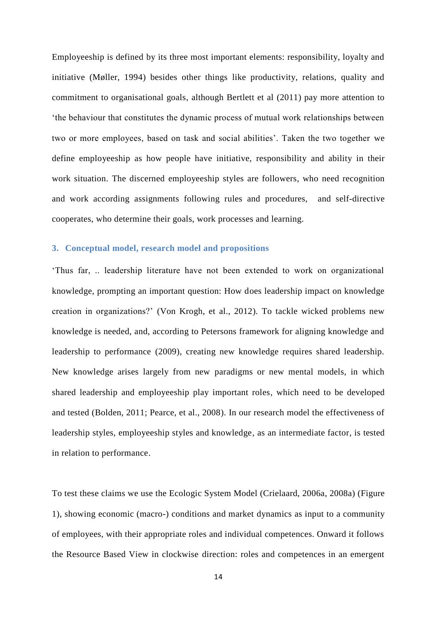Employeeship is defined by its three most important elements: responsibility, loyalty and initiative [\(Møller, 1994\)](#page-32-10) besides other things like productivity, relations, quality and commitment to organisational goals, although Bertlett et al [\(2011\)](#page-27-3) pay more attention to 'the behaviour that constitutes the dynamic process of mutual work relationships between two or more employees, based on task and social abilities'. Taken the two together we define employeeship as how people have initiative, responsibility and ability in their work situation. The discerned employeeship styles are followers, who need recognition and work according assignments following rules and procedures, and self-directive cooperates, who determine their goals, work processes and learning.

# **3. Conceptual model, research model and propositions**

'Thus far, .. leadership literature have not been extended to work on organizational knowledge, prompting an important question: How does leadership impact on knowledge creation in organizations?' [\(Von Krogh, et al., 2012\)](#page-34-3). To tackle wicked problems new knowledge is needed, and, according to Petersons framework for aligning knowledge and leadership to performance [\(2009\)](#page-33-1), creating new knowledge requires shared leadership. New knowledge arises largely from new paradigms or new mental models, in which shared leadership and employeeship play important roles, which need to be developed and tested [\(Bolden, 2011;](#page-28-7) [Pearce, et al., 2008\)](#page-33-10). In our research model the effectiveness of leadership styles, employeeship styles and knowledge, as an intermediate factor, is tested in relation to performance.

To test these claims we use the Ecologic System Model [\(Crielaard, 2006a,](#page-28-9) [2008a\)](#page-29-0) (Figure 1), showing economic (macro-) conditions and market dynamics as input to a community of employees, with their appropriate roles and individual competences. Onward it follows the Resource Based View in clockwise direction: roles and competences in an emergent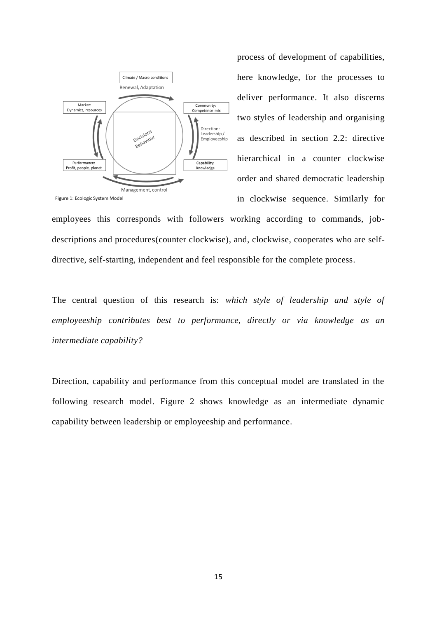

process of development of capabilities, here knowledge, for the processes to deliver performance. It also discerns two styles of leadership and organising as described in section 2.2: directive hierarchical in a counter clockwise order and shared democratic leadership in clockwise sequence. Similarly for

employees this corresponds with followers working according to commands, jobdescriptions and procedures(counter clockwise), and, clockwise, cooperates who are selfdirective, self-starting, independent and feel responsible for the complete process.

The central question of this research is: *which style of leadership and style of employeeship contributes best to performance, directly or via knowledge as an intermediate capability?*

Direction, capability and performance from this conceptual model are translated in the following research model. Figure 2 shows knowledge as an intermediate dynamic capability between leadership or employeeship and performance.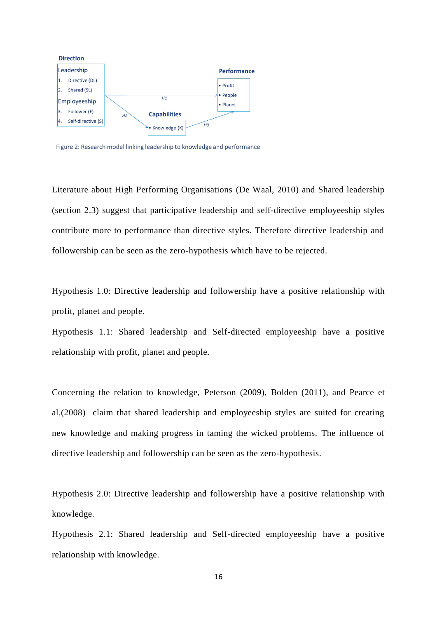

Figure 2: Research model linking leadership to knowledge and performance

Literature about High Performing Organisations [\(De Waal, 2010\)](#page-29-8) and Shared leadership (section 2.3) suggest that participative leadership and self-directive employeeship styles contribute more to performance than directive styles. Therefore directive leadership and followership can be seen as the zero-hypothesis which have to be rejected.

Hypothesis 1.0: Directive leadership and followership have a positive relationship with profit, planet and people.

Hypothesis 1.1: Shared leadership and Self-directed employeeship have a positive relationship with profit, planet and people.

Concerning the relation to knowledge, Peterson [\(2009\)](#page-33-1), Bolden [\(2011\)](#page-28-7), and Pearce et al.[\(2008\)](#page-33-10) claim that shared leadership and employeeship styles are suited for creating new knowledge and making progress in taming the wicked problems. The influence of directive leadership and followership can be seen as the zero-hypothesis.

Hypothesis 2.0: Directive leadership and followership have a positive relationship with knowledge.

Hypothesis 2.1: Shared leadership and Self-directed employeeship have a positive relationship with knowledge.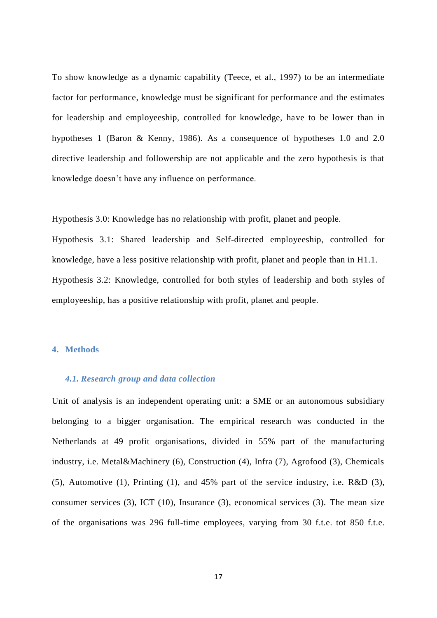To show knowledge as a dynamic capability [\(Teece, et al., 1997\)](#page-33-7) to be an intermediate factor for performance, knowledge must be significant for performance and the estimates for leadership and employeeship, controlled for knowledge, have to be lower than in hypotheses 1 [\(Baron & Kenny, 1986\)](#page-27-9). As a consequence of hypotheses 1.0 and 2.0 directive leadership and followership are not applicable and the zero hypothesis is that knowledge doesn't have any influence on performance.

Hypothesis 3.0: Knowledge has no relationship with profit, planet and people.

Hypothesis 3.1: Shared leadership and Self-directed employeeship, controlled for knowledge, have a less positive relationship with profit, planet and people than in H1.1. Hypothesis 3.2: Knowledge, controlled for both styles of leadership and both styles of employeeship, has a positive relationship with profit, planet and people.

# **4. Methods**

## *4.1. Research group and data collection*

Unit of analysis is an independent operating unit: a SME or an autonomous subsidiary belonging to a bigger organisation. The empirical research was conducted in the Netherlands at 49 profit organisations, divided in 55% part of the manufacturing industry, i.e. Metal&Machinery (6), Construction (4), Infra (7), Agrofood (3), Chemicals (5), Automotive (1), Printing (1), and 45% part of the service industry, i.e. R&D (3), consumer services (3), ICT (10), Insurance (3), economical services (3). The mean size of the organisations was 296 full-time employees, varying from 30 f.t.e. tot 850 f.t.e.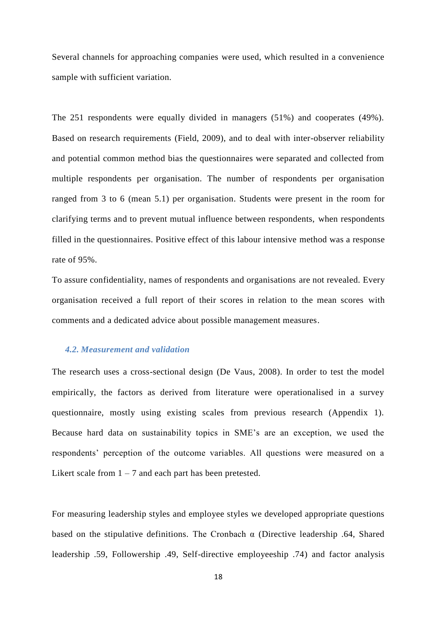Several channels for approaching companies were used, which resulted in a convenience sample with sufficient variation.

The 251 respondents were equally divided in managers (51%) and cooperates (49%). Based on research requirements [\(Field, 2009\)](#page-30-10), and to deal with inter-observer reliability and potential common method bias the questionnaires were separated and collected from multiple respondents per organisation. The number of respondents per organisation ranged from 3 to 6 (mean 5.1) per organisation. Students were present in the room for clarifying terms and to prevent mutual influence between respondents, when respondents filled in the questionnaires. Positive effect of this labour intensive method was a response rate of 95%.

To assure confidentiality, names of respondents and organisations are not revealed. Every organisation received a full report of their scores in relation to the mean scores with comments and a dedicated advice about possible management measures.

## *4.2. Measurement and validation*

The research uses a cross-sectional design [\(De Vaus, 2008\)](#page-29-9). In order to test the model empirically, the factors as derived from literature were operationalised in a survey questionnaire, mostly using existing scales from previous research (Appendix 1). Because hard data on sustainability topics in SME's are an exception, we used the respondents' perception of the outcome variables. All questions were measured on a Likert scale from  $1 - 7$  and each part has been pretested.

For measuring leadership styles and employee styles we developed appropriate questions based on the stipulative definitions. The Cronbach  $\alpha$  (Directive leadership .64, Shared leadership .59, Followership .49, Self-directive employeeship .74) and factor analysis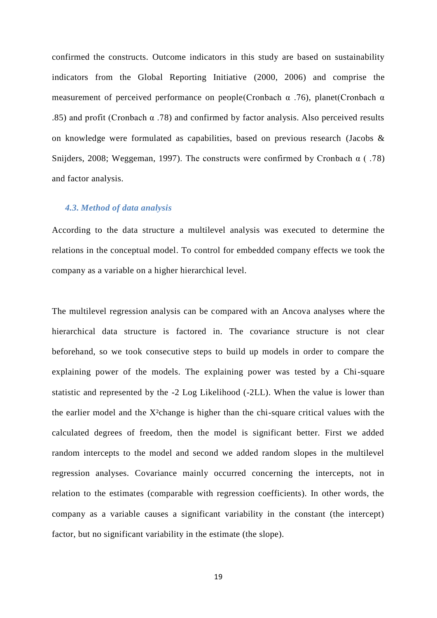confirmed the constructs. Outcome indicators in this study are based on sustainability indicators from the Global Reporting Initiative [\(2000, 2006\)](#page-30-11) and comprise the measurement of perceived performance on people(Cronbach  $\alpha$  .76), planet(Cronbach  $\alpha$ .85) and profit (Cronbach  $\alpha$  .78) and confirmed by factor analysis. Also perceived results on knowledge were formulated as capabilities, based on previous research [\(Jacobs &](#page-31-8)  [Snijders, 2008;](#page-31-8) [Weggeman, 1997\)](#page-34-4). The constructs were confirmed by Cronbach  $\alpha$  (.78) and factor analysis.

## *4.3. Method of data analysis*

According to the data structure a multilevel analysis was executed to determine the relations in the conceptual model. To control for embedded company effects we took the company as a variable on a higher hierarchical level.

The multilevel regression analysis can be compared with an Ancova analyses where the hierarchical data structure is factored in. The covariance structure is not clear beforehand, so we took consecutive steps to build up models in order to compare the explaining power of the models. The explaining power was tested by a Chi-square statistic and represented by the -2 Log Likelihood (-2LL). When the value is lower than the earlier model and the X²change is higher than the chi-square critical values with the calculated degrees of freedom, then the model is significant better. First we added random intercepts to the model and second we added random slopes in the multilevel regression analyses. Covariance mainly occurred concerning the intercepts, not in relation to the estimates (comparable with regression coefficients). In other words, the company as a variable causes a significant variability in the constant (the intercept) factor, but no significant variability in the estimate (the slope).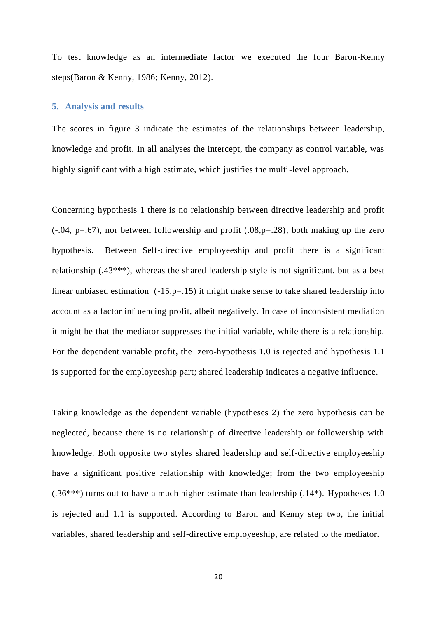To test knowledge as an intermediate factor we executed the four Baron-Kenny steps[\(Baron & Kenny, 1986;](#page-27-9) [Kenny, 2012\)](#page-31-9).

### **5. Analysis and results**

The scores in figure 3 indicate the estimates of the relationships between leadership, knowledge and profit. In all analyses the intercept, the company as control variable, was highly significant with a high estimate, which justifies the multi-level approach.

Concerning hypothesis 1 there is no relationship between directive leadership and profit  $(-.04, p=.67)$ , nor between followership and profit  $(.08, p=.28)$ , both making up the zero hypothesis. Between Self-directive employeeship and profit there is a significant relationship (.43\*\*\*), whereas the shared leadership style is not significant, but as a best linear unbiased estimation (-15,p=.15) it might make sense to take shared leadership into account as a factor influencing profit, albeit negatively. In case of inconsistent mediation it might be that the mediator suppresses the initial variable, while there is a relationship. For the dependent variable profit, the zero-hypothesis 1.0 is rejected and hypothesis 1.1 is supported for the employeeship part; shared leadership indicates a negative influence.

Taking knowledge as the dependent variable (hypotheses 2) the zero hypothesis can be neglected, because there is no relationship of directive leadership or followership with knowledge. Both opposite two styles shared leadership and self-directive employeeship have a significant positive relationship with knowledge; from the two employeeship  $(.36***)$  turns out to have a much higher estimate than leadership  $(.14*)$ . Hypotheses 1.0 is rejected and 1.1 is supported. According to Baron and Kenny step two, the initial variables, shared leadership and self-directive employeeship, are related to the mediator.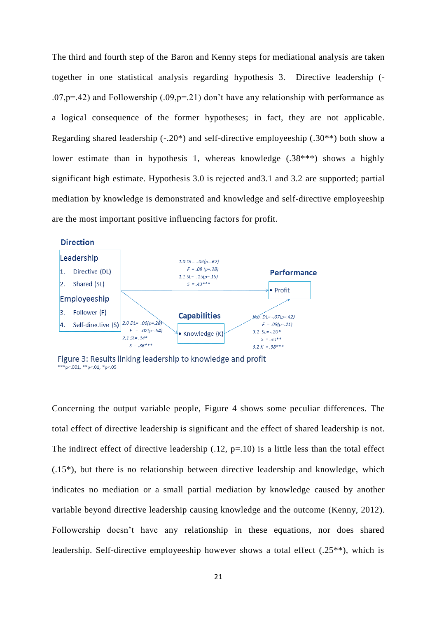The third and fourth step of the Baron and Kenny steps for mediational analysis are taken together in one statistical analysis regarding hypothesis 3. Directive leadership (-  $.07,p=.42$ ) and Followership  $(.09,p=.21)$  don't have any relationship with performance as a logical consequence of the former hypotheses; in fact, they are not applicable. Regarding shared leadership  $(-.20^*)$  and self-directive employeeship  $(.30^{**})$  both show a lower estimate than in hypothesis 1, whereas knowledge (.38\*\*\*) shows a highly significant high estimate. Hypothesis 3.0 is rejected and3.1 and 3.2 are supported; partial mediation by knowledge is demonstrated and knowledge and self-directive employeeship are the most important positive influencing factors for profit.



Figure 3: Results linking leadership to knowledge and profit \*\*\*p<.001, \*\*p<.01, \*p<.05

Concerning the output variable people, Figure 4 shows some peculiar differences. The total effect of directive leadership is significant and the effect of shared leadership is not. The indirect effect of directive leadership  $(.12, p=.10)$  is a little less than the total effect (.15\*), but there is no relationship between directive leadership and knowledge, which indicates no mediation or a small partial mediation by knowledge caused by another variable beyond directive leadership causing knowledge and the outcome [\(Kenny, 2012\)](#page-31-9). Followership doesn't have any relationship in these equations, nor does shared leadership. Self-directive employeeship however shows a total effect (.25\*\*), which is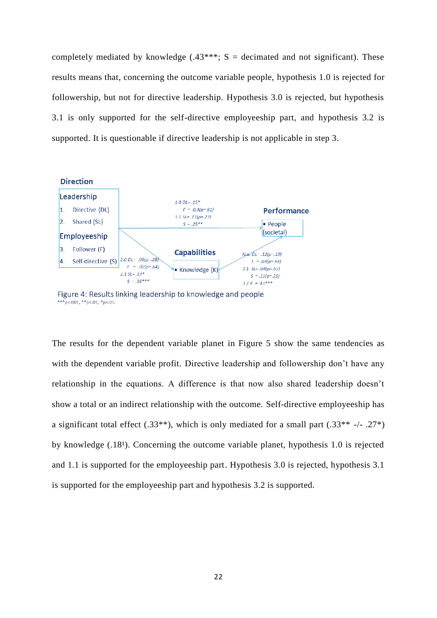completely mediated by knowledge  $(.43***; S =$  decimated and not significant). These results means that, concerning the outcome variable people, hypothesis 1.0 is rejected for followership, but not for directive leadership. Hypothesis 3.0 is rejected, but hypothesis 3.1 is only supported for the self-directive employeeship part, and hypothesis 3.2 is supported. It is questionable if directive leadership is not applicable in step 3.



Figure 4: Results linking leadership to knowledge and people \*\*\*p<.001, \*\*p<.01, \*p<.05

The results for the dependent variable planet in Figure 5 show the same tendencies as with the dependent variable profit. Directive leadership and followership don't have any relationship in the equations. A difference is that now also shared leadership doesn't show a total or an indirect relationship with the outcome. Self-directive employeeship has a significant total effect  $(.33^{**})$ , which is only mediated for a small part  $(.33^{**}$  -/- .27<sup>\*</sup>) by knowledge  $(.18<sup>1</sup>)$ . Concerning the outcome variable planet, hypothesis 1.0 is rejected and 1.1 is supported for the employeeship part. Hypothesis 3.0 is rejected, hypothesis 3.1 is supported for the employeeship part and hypothesis 3.2 is supported.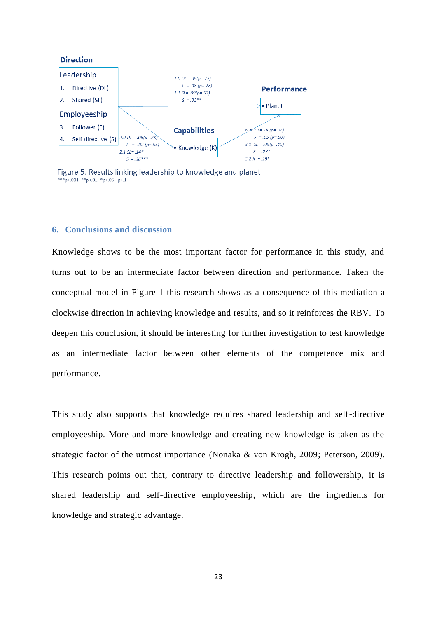

Figure 5: Results linking leadership to knowledge and planet \*\*\*p<.001, \*\*p<.01, \*p<.05,  ${}^{1}p<.1$ 

## **6. Conclusions and discussion**

Knowledge shows to be the most important factor for performance in this study, and turns out to be an intermediate factor between direction and performance. Taken the conceptual model in Figure 1 this research shows as a consequence of this mediation a clockwise direction in achieving knowledge and results, and so it reinforces the RBV. To deepen this conclusion, it should be interesting for further investigation to test knowledge as an intermediate factor between other elements of the competence mix and performance.

This study also supports that knowledge requires shared leadership and self-directive employeeship. More and more knowledge and creating new knowledge is taken as the strategic factor of the utmost importance [\(Nonaka & von Krogh, 2009;](#page-33-5) [Peterson, 2009\)](#page-33-1). This research points out that, contrary to directive leadership and followership, it is shared leadership and self-directive employeeship, which are the ingredients for knowledge and strategic advantage.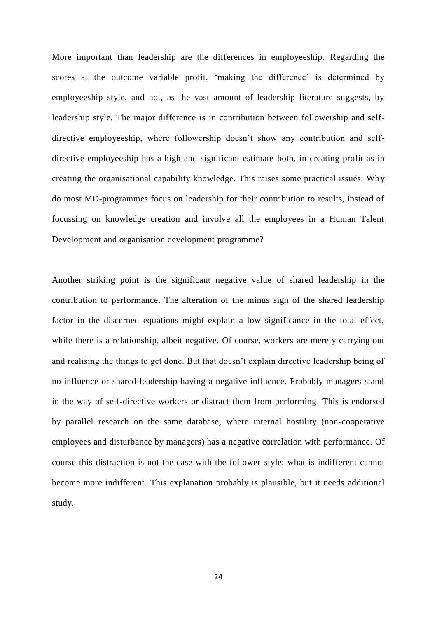More important than leadership are the differences in employeeship. Regarding the scores at the outcome variable profit, 'making the difference' is determined by employeeship style, and not, as the vast amount of leadership literature suggests, by leadership style. The major difference is in contribution between followership and selfdirective employeeship, where followership doesn't show any contribution and selfdirective employeeship has a high and significant estimate both, in creating profit as in creating the organisational capability knowledge. This raises some practical issues: Why do most MD-programmes focus on leadership for their contribution to results, instead of focussing on knowledge creation and involve all the employees in a Human Talent Development and organisation development programme?

Another striking point is the significant negative value of shared leadership in the contribution to performance. The alteration of the minus sign of the shared leadership factor in the discerned equations might explain a low significance in the total effect, while there is a relationship, albeit negative. Of course, workers are merely carrying out and realising the things to get done. But that doesn't explain directive leadership being of no influence or shared leadership having a negative influence. Probably managers stand in the way of self-directive workers or distract them from performing. This is endorsed by parallel research on the same database, where internal hostility (non-cooperative employees and disturbance by managers) has a negative correlation with performance. Of course this distraction is not the case with the follower-style; what is indifferent cannot become more indifferent. This explanation probably is plausible, but it needs additional study.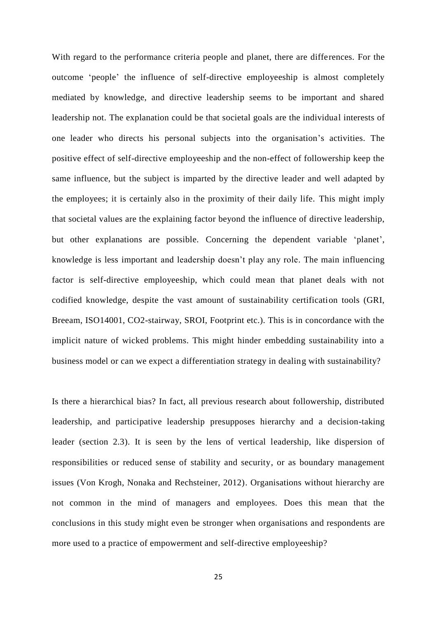With regard to the performance criteria people and planet, there are differences. For the outcome 'people' the influence of self-directive employeeship is almost completely mediated by knowledge, and directive leadership seems to be important and shared leadership not. The explanation could be that societal goals are the individual interests of one leader who directs his personal subjects into the organisation's activities. The positive effect of self-directive employeeship and the non-effect of followership keep the same influence, but the subject is imparted by the directive leader and well adapted by the employees; it is certainly also in the proximity of their daily life. This might imply that societal values are the explaining factor beyond the influence of directive leadership, but other explanations are possible. Concerning the dependent variable 'planet', knowledge is less important and leadership doesn't play any role. The main influencing factor is self-directive employeeship, which could mean that planet deals with not codified knowledge, despite the vast amount of sustainability certification tools (GRI, Breeam, ISO14001, CO2-stairway, SROI, Footprint etc.). This is in concordance with the implicit nature of wicked problems. This might hinder embedding sustainability into a business model or can we expect a differentiation strategy in dealing with sustainability?

Is there a hierarchical bias? In fact, all previous research about followership, distributed leadership, and participative leadership presupposes hierarchy and a decision-taking leader (section 2.3). It is seen by the lens of vertical leadership, like dispersion of responsibilities or reduced sense of stability and security, or as boundary management issues (Von Krogh, Nonaka and Rechsteiner, 2012). Organisations without hierarchy are not common in the mind of managers and employees. Does this mean that the conclusions in this study might even be stronger when organisations and respondents are more used to a practice of empowerment and self-directive employeeship?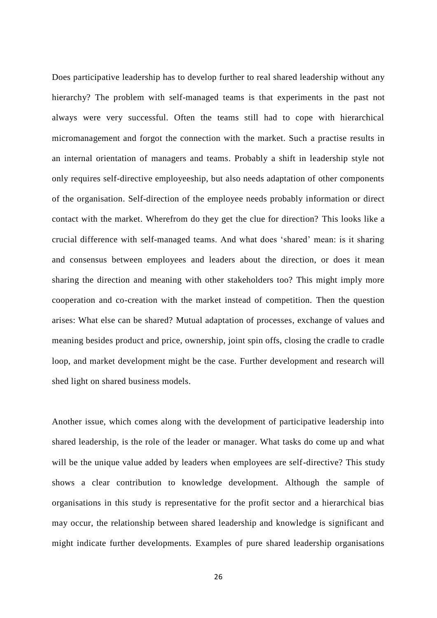Does participative leadership has to develop further to real shared leadership without any hierarchy? The problem with self-managed teams is that experiments in the past not always were very successful. Often the teams still had to cope with hierarchical micromanagement and forgot the connection with the market. Such a practise results in an internal orientation of managers and teams. Probably a shift in leadership style not only requires self-directive employeeship, but also needs adaptation of other components of the organisation. Self-direction of the employee needs probably information or direct contact with the market. Wherefrom do they get the clue for direction? This looks like a crucial difference with self-managed teams. And what does 'shared' mean: is it sharing and consensus between employees and leaders about the direction, or does it mean sharing the direction and meaning with other stakeholders too? This might imply more cooperation and co-creation with the market instead of competition. Then the question arises: What else can be shared? Mutual adaptation of processes, exchange of values and meaning besides product and price, ownership, joint spin offs, closing the cradle to cradle loop, and market development might be the case. Further development and research will shed light on shared business models.

Another issue, which comes along with the development of participative leadership into shared leadership, is the role of the leader or manager. What tasks do come up and what will be the unique value added by leaders when employees are self-directive? This study shows a clear contribution to knowledge development. Although the sample of organisations in this study is representative for the profit sector and a hierarchical bias may occur, the relationship between shared leadership and knowledge is significant and might indicate further developments. Examples of pure shared leadership organisations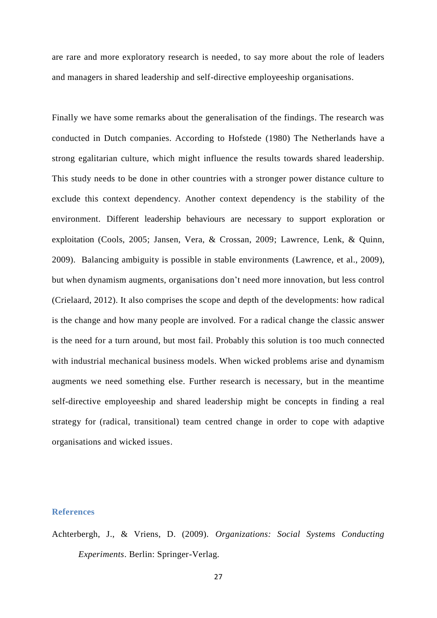are rare and more exploratory research is needed, to say more about the role of leaders and managers in shared leadership and self-directive employeeship organisations.

Finally we have some remarks about the generalisation of the findings. The research was conducted in Dutch companies. According to Hofstede [\(1980\)](#page-31-10) The Netherlands have a strong egalitarian culture, which might influence the results towards shared leadership. This study needs to be done in other countries with a stronger power distance culture to exclude this context dependency. Another context dependency is the stability of the environment. Different leadership behaviours are necessary to support exploration or exploitation [\(Cools, 2005;](#page-28-10) [Jansen, Vera, & Crossan, 2009;](#page-31-11) [Lawrence, Lenk, & Quinn,](#page-32-11)  [2009\)](#page-32-11). Balancing ambiguity is possible in stable environments [\(Lawrence, et al., 2009\)](#page-32-11), but when dynamism augments, organisations don't need more innovation, but less control [\(Crielaard, 2012\)](#page-29-10). It also comprises the scope and depth of the developments: how radical is the change and how many people are involved. For a radical change the classic answer is the need for a turn around, but most fail. Probably this solution is too much connected with industrial mechanical business models. When wicked problems arise and dynamism augments we need something else. Further research is necessary, but in the meantime self-directive employeeship and shared leadership might be concepts in finding a real strategy for (radical, transitional) team centred change in order to cope with adaptive organisations and wicked issues.

# **References**

<span id="page-26-0"></span>Achterbergh, J., & Vriens, D. (2009). *Organizations: Social Systems Conducting Experiments*. Berlin: Springer-Verlag.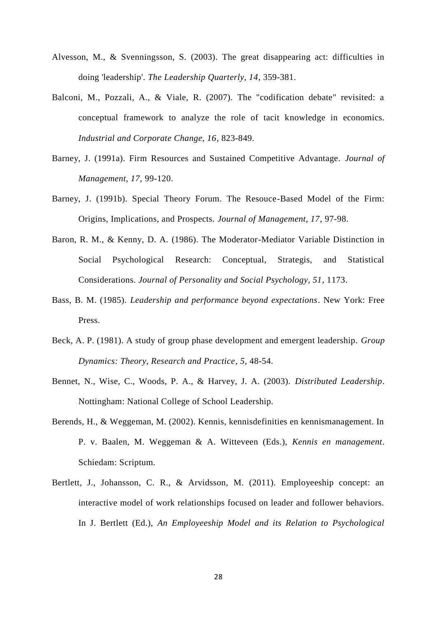- <span id="page-27-8"></span>Alvesson, M., & Svenningsson, S. (2003). The great disappearing act: difficulties in doing 'leadership'. *The Leadership Quarterly, 14*, 359-381.
- <span id="page-27-1"></span>Balconi, M., Pozzali, A., & Viale, R. (2007). The "codification debate" revisited: a conceptual framework to analyze the role of tacit knowledge in economics. *Industrial and Corporate Change, 16*, 823-849.
- <span id="page-27-2"></span>Barney, J. (1991a). Firm Resources and Sustained Competitive Advantage. *Journal of Management, 17*, 99-120.
- <span id="page-27-5"></span>Barney, J. (1991b). Special Theory Forum. The Resouce-Based Model of the Firm: Origins, Implications, and Prospects. *Journal of Management, 17*, 97-98.
- <span id="page-27-9"></span>Baron, R. M., & Kenny, D. A. (1986). The Moderator-Mediator Variable Distinction in Social Psychological Research: Conceptual, Strategis, and Statistical Considerations. *Journal of Personality and Social Psychology, 51*, 1173.
- <span id="page-27-4"></span>Bass, B. M. (1985). *Leadership and performance beyond expectations*. New York: Free Press.
- <span id="page-27-6"></span>Beck, A. P. (1981). A study of group phase development and emergent leadership. *Group Dynamics: Theory, Research and Practice, 5*, 48-54.
- <span id="page-27-7"></span>Bennet, N., Wise, C., Woods, P. A., & Harvey, J. A. (2003). *Distributed Leadership*. Nottingham: National College of School Leadership.
- <span id="page-27-0"></span>Berends, H., & Weggeman, M. (2002). Kennis, kennisdefinities en kennismanagement. In P. v. Baalen, M. Weggeman & A. Witteveen (Eds.), *Kennis en management*. Schiedam: Scriptum.
- <span id="page-27-3"></span>Bertlett, J., Johansson, C. R., & Arvidsson, M. (2011). Employeeship concept: an interactive model of work relationships focused on leader and follower behaviors. In J. Bertlett (Ed.), *An Employeeship Model and its Relation to Psychological*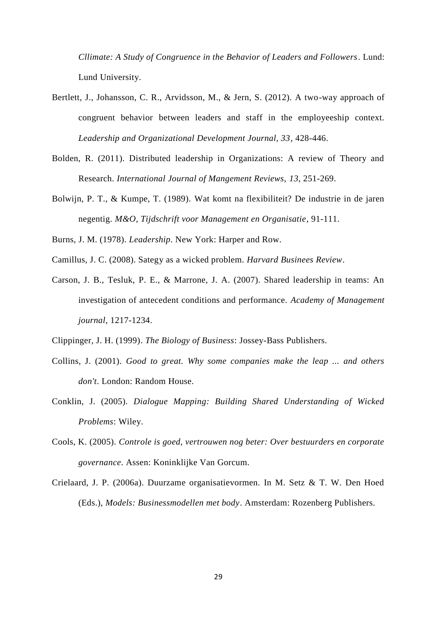*Cllimate: A Study of Congruence in the Behavior of Leaders and Followers*. Lund: Lund University.

- <span id="page-28-4"></span>Bertlett, J., Johansson, C. R., Arvidsson, M., & Jern, S. (2012). A two-way approach of congruent behavior between leaders and staff in the employeeship context. *Leadership and Organizational Development Journal, 33*, 428-446.
- <span id="page-28-7"></span>Bolden, R. (2011). Distributed leadership in Organizations: A review of Theory and Research. *International Journal of Mangement Reviews, 13*, 251-269.
- <span id="page-28-0"></span>Bolwijn, P. T., & Kumpe, T. (1989). Wat komt na flexibiliteit? De industrie in de jaren negentig. *M&O, Tijdschrift voor Management en Organisatie*, 91-111.
- <span id="page-28-5"></span>Burns, J. M. (1978). *Leadership*. New York: Harper and Row.
- <span id="page-28-1"></span>Camillus, J. C. (2008). Sategy as a wicked problem. *Harvard Businees Review*.
- <span id="page-28-8"></span>Carson, J. B., Tesluk, P. E., & Marrone, J. A. (2007). Shared leadership in teams: An investigation of antecedent conditions and performance. *Academy of Management journal*, 1217-1234.

<span id="page-28-3"></span>Clippinger, J. H. (1999). *The Biology of Business*: Jossey-Bass Publishers.

- <span id="page-28-6"></span>Collins, J. (2001). *Good to great. Why some companies make the leap ... and others don't*. London: Random House.
- <span id="page-28-2"></span>Conklin, J. (2005). *Dialogue Mapping: Building Shared Understanding of Wicked Problems*: Wiley.
- <span id="page-28-10"></span>Cools, K. (2005). *Controle is goed, vertrouwen nog beter: Over bestuurders en corporate governance*. Assen: Koninklijke Van Gorcum.
- <span id="page-28-9"></span>Crielaard, J. P. (2006a). Duurzame organisatievormen. In M. Setz & T. W. Den Hoed (Eds.), *Models: Businessmodellen met body*. Amsterdam: Rozenberg Publishers.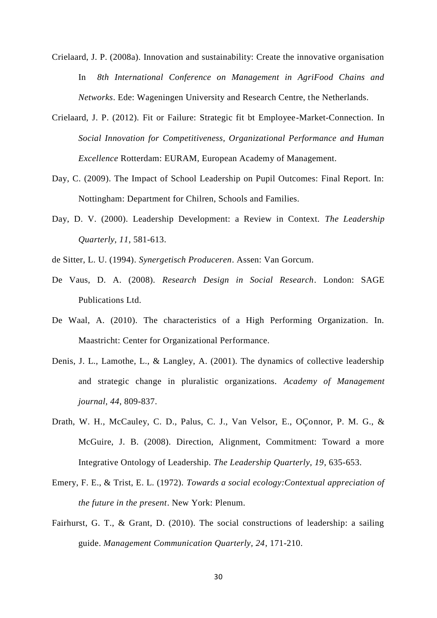- <span id="page-29-0"></span>Crielaard, J. P. (2008a). Innovation and sustainability: Create the innovative organisation In *8th International Conference on Management in AgriFood Chains and Networks*. Ede: Wageningen University and Research Centre, the Netherlands.
- <span id="page-29-10"></span>Crielaard, J. P. (2012). Fit or Failure: Strategic fit bt Employee-Market-Connection. In *Social Innovation for Competitiveness, Organizational Performance and Human Excellence* Rotterdam: EURAM, European Academy of Management.
- <span id="page-29-5"></span>Day, C. (2009). The Impact of School Leadership on Pupil Outcomes: Final Report. In: Nottingham: Department for Chilren, Schools and Families.
- <span id="page-29-7"></span>Day, D. V. (2000). Leadership Development: a Review in Context. *The Leadership Quarterly, 11*, 581-613.
- <span id="page-29-1"></span>de Sitter, L. U. (1994). *Synergetisch Produceren*. Assen: Van Gorcum.
- <span id="page-29-9"></span>De Vaus, D. A. (2008). *Research Design in Social Research*. London: SAGE Publications Ltd.
- <span id="page-29-8"></span>De Waal, A. (2010). The characteristics of a High Performing Organization. In. Maastricht: Center for Organizational Performance.
- <span id="page-29-3"></span>Denis, J. L., Lamothe, L., & Langley, A. (2001). The dynamics of collective leadership and strategic change in pluralistic organizations. *Academy of Management journal, 44*, 809-837.
- <span id="page-29-4"></span>Drath, W. H., McCauley, C. D., Palus, C. J., Van Velsor, E., OÇonnor, P. M. G., & McGuire, J. B. (2008). Direction, Alignment, Commitment: Toward a more Integrative Ontology of Leadership. *The Leadership Quarterly, 19*, 635-653.
- <span id="page-29-2"></span>Emery, F. E., & Trist, E. L. (1972). *Towards a social ecology:Contextual appreciation of the future in the present*. New York: Plenum.
- <span id="page-29-6"></span>Fairhurst, G. T., & Grant, D. (2010). The social constructions of leadership: a sailing guide. *Management Communication Quarterly, 24*, 171-210.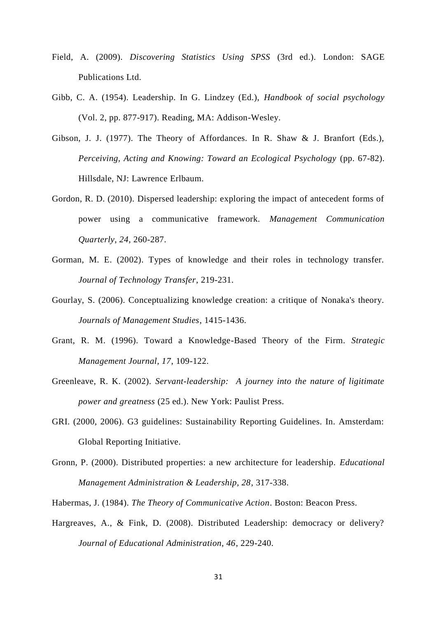- <span id="page-30-10"></span>Field, A. (2009). *Discovering Statistics Using SPSS* (3rd ed.). London: SAGE Publications Ltd.
- <span id="page-30-6"></span>Gibb, C. A. (1954). Leadership. In G. Lindzey (Ed.), *Handbook of social psychology* (Vol. 2, pp. 877-917). Reading, MA: Addison-Wesley.
- <span id="page-30-3"></span>Gibson, J. J. (1977). The Theory of Affordances. In R. Shaw & J. Branfort (Eds.), *Perceiving, Acting and Knowing: Toward an Ecological Psychology* (pp. 67-82). Hillsdale, NJ: Lawrence Erlbaum.
- <span id="page-30-9"></span>Gordon, R. D. (2010). Dispersed leadership: exploring the impact of antecedent forms of power using a communicative framework. *Management Communication Quarterly, 24*, 260-287.
- <span id="page-30-4"></span>Gorman, M. E. (2002). Types of knowledge and their roles in technology transfer. *Journal of Technology Transfer*, 219-231.
- <span id="page-30-1"></span>Gourlay, S. (2006). Conceptualizing knowledge creation: a critique of Nonaka's theory. *Journals of Management Studies*, 1415-1436.
- <span id="page-30-0"></span>Grant, R. M. (1996). Toward a Knowledge-Based Theory of the Firm. *Strategic Management Journal, 17*, 109-122.
- <span id="page-30-5"></span>Greenleave, R. K. (2002). *Servant-leadership: A journey into the nature of ligitimate power and greatness* (25 ed.). New York: Paulist Press.
- <span id="page-30-11"></span>GRI. (2000, 2006). G3 guidelines: Sustainability Reporting Guidelines. In. Amsterdam: Global Reporting Initiative.
- <span id="page-30-7"></span>Gronn, P. (2000). Distributed properties: a new architecture for leadership. *Educational Management Administration & Leadership, 28*, 317-338.
- <span id="page-30-2"></span>Habermas, J. (1984). *The Theory of Communicative Action*. Boston: Beacon Press.
- <span id="page-30-8"></span>Hargreaves, A., & Fink, D. (2008). Distributed Leadership: democracy or delivery? *Journal of Educational Administration, 46*, 229-240.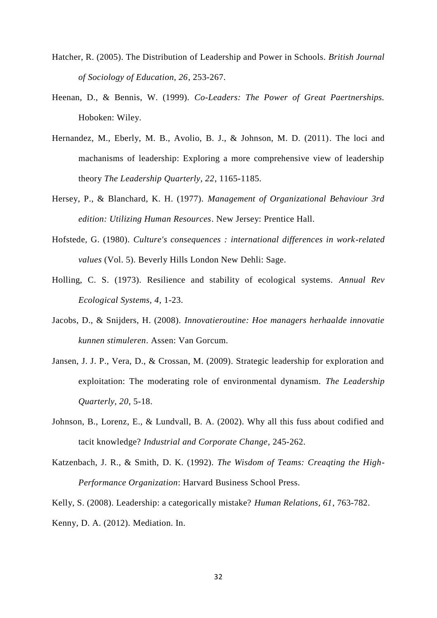- <span id="page-31-6"></span>Hatcher, R. (2005). The Distribution of Leadership and Power in Schools. *British Journal of Sociology of Education, 26*, 253-267.
- <span id="page-31-5"></span>Heenan, D., & Bennis, W. (1999). *Co-Leaders: The Power of Great Paertnerships.* Hoboken: Wiley.
- <span id="page-31-2"></span>Hernandez, M., Eberly, M. B., Avolio, B. J., & Johnson, M. D. (2011). The loci and machanisms of leadership: Exploring a more comprehensive view of leadership theory *The Leadership Quarterly, 22*, 1165-1185.
- <span id="page-31-3"></span>Hersey, P., & Blanchard, K. H. (1977). *Management of Organizational Behaviour 3rd edition: Utilizing Human Resources*. New Jersey: Prentice Hall.
- <span id="page-31-10"></span>Hofstede, G. (1980). *Culture's consequences : international differences in work-related values* (Vol. 5). Beverly Hills London New Dehli: Sage.
- <span id="page-31-0"></span>Holling, C. S. (1973). Resilience and stability of ecological systems. *Annual Rev Ecological Systems, 4*, 1-23.
- <span id="page-31-8"></span>Jacobs, D., & Snijders, H. (2008). *Innovatieroutine: Hoe managers herhaalde innovatie kunnen stimuleren*. Assen: Van Gorcum.
- <span id="page-31-11"></span>Jansen, J. J. P., Vera, D., & Crossan, M. (2009). Strategic leadership for exploration and exploitation: The moderating role of environmental dynamism. *The Leadership Quarterly, 20*, 5-18.
- <span id="page-31-1"></span>Johnson, B., Lorenz, E., & Lundvall, B. A. (2002). Why all this fuss about codified and tacit knowledge? *Industrial and Corporate Change*, 245-262.
- <span id="page-31-4"></span>Katzenbach, J. R., & Smith, D. K. (1992). *The Wisdom of Teams: Creaqting the High-Performance Organization*: Harvard Business School Press.

<span id="page-31-7"></span>Kelly, S. (2008). Leadership: a categorically mistake? *Human Relations, 61*, 763-782.

<span id="page-31-9"></span>Kenny, D. A. (2012). Mediation. In.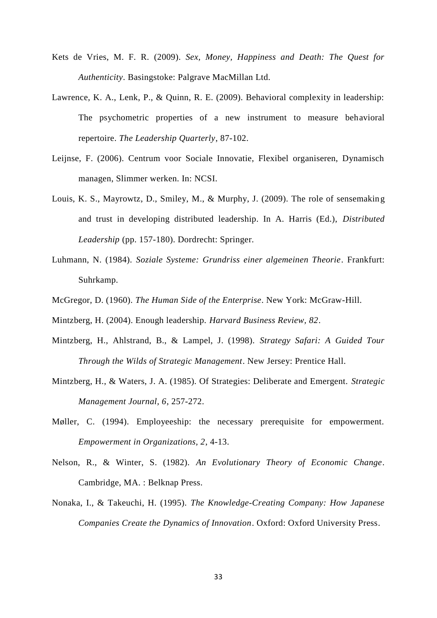- <span id="page-32-7"></span>Kets de Vries, M. F. R. (2009). *Sex, Money, Happiness and Death: The Quest for Authenticity*. Basingstoke: Palgrave MacMillan Ltd.
- <span id="page-32-11"></span>Lawrence, K. A., Lenk, P., & Quinn, R. E. (2009). Behavioral complexity in leadership: The psychometric properties of a new instrument to measure behavioral repertoire. *The Leadership Quarterly*, 87-102.
- <span id="page-32-0"></span>Leijnse, F. (2006). Centrum voor Sociale Innovatie, Flexibel organiseren, Dynamisch managen, Slimmer werken. In: NCSI.
- <span id="page-32-9"></span>Louis, K. S., Mayrowtz, D., Smiley, M., & Murphy, J. (2009). The role of sensemaking and trust in developing distributed leadership. In A. Harris (Ed.), *Distributed Leadership* (pp. 157-180). Dordrecht: Springer.
- <span id="page-32-3"></span>Luhmann, N. (1984). *Soziale Systeme: Grundriss einer algemeinen Theorie*. Frankfurt: Suhrkamp.
- <span id="page-32-8"></span>McGregor, D. (1960). *The Human Side of the Enterprise*. New York: McGraw-Hill.
- <span id="page-32-4"></span>Mintzberg, H. (2004). Enough leadership. *Harvard Business Review, 82*.
- <span id="page-32-5"></span>Mintzberg, H., Ahlstrand, B., & Lampel, J. (1998). *Strategy Safari: A Guided Tour Through the Wilds of Strategic Management*. New Jersey: Prentice Hall.
- <span id="page-32-6"></span>Mintzberg, H., & Waters, J. A. (1985). Of Strategies: Deliberate and Emergent. *Strategic Management Journal, 6*, 257-272.
- <span id="page-32-10"></span>Møller, C. (1994). Employeeship: the necessary prerequisite for empowerment. *Empowerment in Organizations, 2*, 4-13.
- <span id="page-32-2"></span>Nelson, R., & Winter, S. (1982). *An Evolutionary Theory of Economic Change*. Cambridge, MA. : Belknap Press.
- <span id="page-32-1"></span>Nonaka, I., & Takeuchi, H. (1995). *The Knowledge-Creating Company: How Japanese Companies Create the Dynamics of Innovation*. Oxford: Oxford University Press.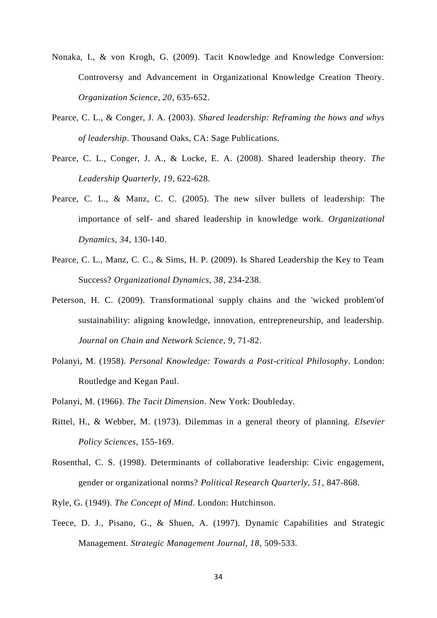- <span id="page-33-5"></span>Nonaka, I., & von Krogh, G. (2009). Tacit Knowledge and Knowledge Conversion: Controversy and Advancement in Organizational Knowledge Creation Theory. *Organization Science, 20*, 635-652.
- <span id="page-33-9"></span>Pearce, C. L., & Conger, J. A. (2003). *Shared leadership: Reframing the hows and whys of leadership*. Thousand Oaks, CA: Sage Publications.
- <span id="page-33-10"></span>Pearce, C. L., Conger, J. A., & Locke, E. A. (2008). Shared leadership theory. *The Leadership Quarterly, 19*, 622-628.
- <span id="page-33-11"></span>Pearce, C. L., & Manz, C. C. (2005). The new silver bullets of leadership: The importance of self- and shared leadership in knowledge work. *Organizational Dynamics, 34*, 130-140.
- <span id="page-33-2"></span>Pearce, C. L., Manz, C. C., & Sims, H. P. (2009). Is Shared Leadership the Key to Team Success? *Organizational Dynamics, 38*, 234-238.
- <span id="page-33-1"></span>Peterson, H. C. (2009). Transformational supply chains and the 'wicked problem'of sustainability: aligning knowledge, innovation, entrepreneurship, and leadership. *Journal on Chain and Network Science, 9*, 71-82.
- <span id="page-33-6"></span>Polanyi, M. (1958). *Personal Knowledge: Towards a Post-critical Philosophy*. London: Routledge and Kegan Paul.
- <span id="page-33-3"></span>Polanyi, M. (1966). *The Tacit Dimension*. New York: Doubleday.
- <span id="page-33-0"></span>Rittel, H., & Webber, M. (1973). Dilemmas in a general theory of planning. *Elsevier Policy Sciences*, 155-169.
- <span id="page-33-8"></span>Rosenthal, C. S. (1998). Determinants of collaborative leadership: Civic engagement, gender or organizational norms? *Political Research Quarterly, 51*, 847-868.
- <span id="page-33-4"></span>Ryle, G. (1949). *The Concept of Mind*. London: Hutchinson.
- <span id="page-33-7"></span>Teece, D. J., Pisano, G., & Shuen, A. (1997). Dynamic Capabilities and Strategic Management. *Strategic Management Journal, 18*, 509-533.